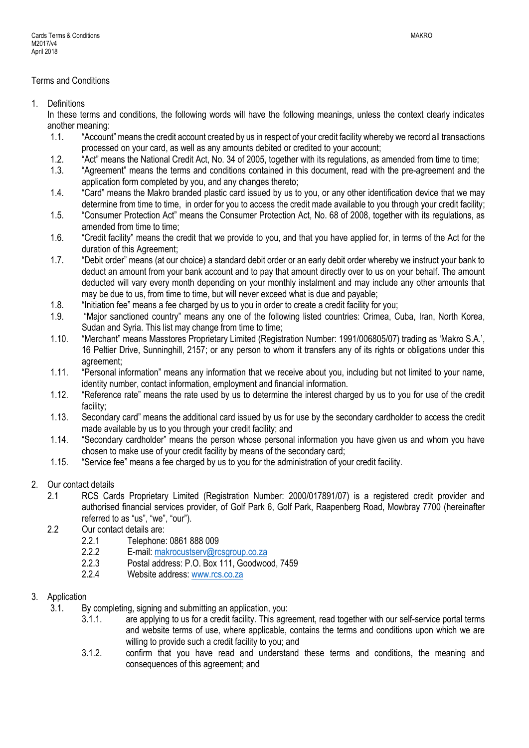### Terms and Conditions

1. Definitions

In these terms and conditions, the following words will have the following meanings, unless the context clearly indicates another meaning:

- 1.1. "Account" means the credit account created by us in respect of your credit facility whereby we record all transactions processed on your card, as well as any amounts debited or credited to your account;
- 1.2. "Act" means the National Credit Act, No. 34 of 2005, together with its regulations, as amended from time to time;<br>1.3. "Agreement" means the terms and conditions contained in this document. read with the pre-agreement
- 1.3. "Agreement" means the terms and conditions contained in this document, read with the pre-agreement and the application form completed by you, and any changes thereto;
- 1.4. "Card" means the Makro branded plastic card issued by us to you, or any other identification device that we may determine from time to time, in order for you to access the credit made available to you through your credit facility;
- 1.5. "Consumer Protection Act" means the Consumer Protection Act, No. 68 of 2008, together with its regulations, as amended from time to time:
- 1.6. "Credit facility" means the credit that we provide to you, and that you have applied for, in terms of the Act for the duration of this Agreement;
- 1.7. "Debit order" means (at our choice) a standard debit order or an early debit order whereby we instruct your bank to deduct an amount from your bank account and to pay that amount directly over to us on your behalf. The amount deducted will vary every month depending on your monthly instalment and may include any other amounts that may be due to us, from time to time, but will never exceed what is due and payable;
- 1.8. "Initiation fee" means a fee charged by us to you in order to create a credit facility for you;<br>1.9. "Maior sanctioned country" means any one of the following listed countries: Crimea. C
- 1.9. "Major sanctioned country" means any one of the following listed countries: Crimea, Cuba, Iran, North Korea, Sudan and Syria. This list may change from time to time;
- 1.10. "Merchant" means Masstores Proprietary Limited (Registration Number: 1991/006805/07) trading as 'Makro S.A.', 16 Peltier Drive, Sunninghill, 2157; or any person to whom it transfers any of its rights or obligations under this agreement;
- 1.11. "Personal information" means any information that we receive about you, including but not limited to your name, identity number, contact information, employment and financial information.
- 1.12. "Reference rate" means the rate used by us to determine the interest charged by us to you for use of the credit facility;
- 1.13. Secondary card" means the additional card issued by us for use by the secondary cardholder to access the credit made available by us to you through your credit facility; and
- 1.14. "Secondary cardholder" means the person whose personal information you have given us and whom you have chosen to make use of your credit facility by means of the secondary card;
- 1.15. "Service fee" means a fee charged by us to you for the administration of your credit facility.
- 2. Our contact details
	- 2.1 RCS Cards Proprietary Limited (Registration Number: 2000/017891/07) is a registered credit provider and authorised financial services provider, of Golf Park 6, Golf Park, Raapenberg Road, Mowbray 7700 (hereinafter referred to as "us", "we", "our").
	- 2.2 Our contact details are:
		- 2.2.1 Telephone: 0861 888 009
		- 2.2.2 E-mail: [makrocustserv@rcsgroup.co.za](mailto:makrocustserv@rcsgroup.co.za)
		- 2.2.3 Postal address: P.O. Box 111, Goodwood, 7459
		- 2.2.4 Website address[: www.rcs.co.za](http://www.rcs.co.za/)

### 3. Application

- 3.1. By completing, signing and submitting an application, you:
	- 3.1.1. are applying to us for a credit facility. This agreement, read together with our self-service portal terms and website terms of use, where applicable, contains the terms and conditions upon which we are willing to provide such a credit facility to you; and
	- 3.1.2. confirm that you have read and understand these terms and conditions, the meaning and consequences of this agreement; and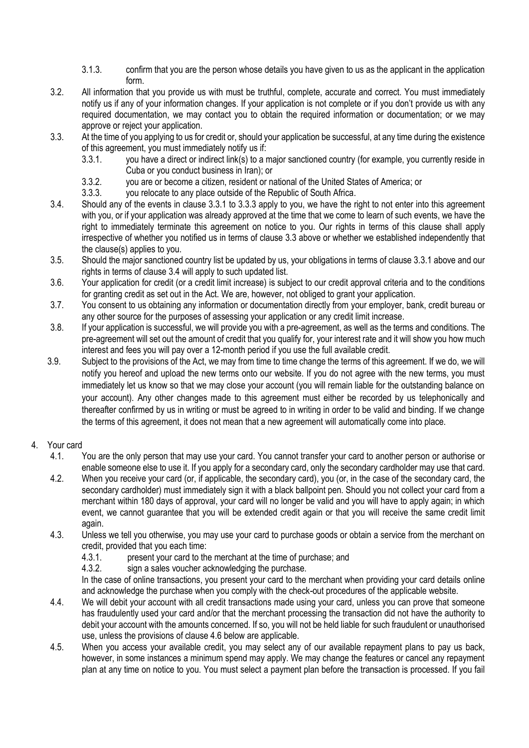- 3.1.3. confirm that you are the person whose details you have given to us as the applicant in the application form.
- 3.2. All information that you provide us with must be truthful, complete, accurate and correct. You must immediately notify us if any of your information changes. If your application is not complete or if you don't provide us with any required documentation, we may contact you to obtain the required information or documentation; or we may approve or reject your application.
- 3.3. At the time of you applying to us for credit or, should your application be successful, at any time during the existence of this agreement, you must immediately notify us if:
	- 3.3.1. you have a direct or indirect link(s) to a major sanctioned country (for example, you currently reside in Cuba or you conduct business in Iran); or
	- 3.3.2. you are or become a citizen, resident or national of the United States of America; or
	- 3.3.3. you relocate to any place outside of the Republic of South Africa.
- 3.4. Should any of the events in clause 3.3.1 to 3.3.3 apply to you, we have the right to not enter into this agreement with you, or if your application was already approved at the time that we come to learn of such events, we have the right to immediately terminate this agreement on notice to you. Our rights in terms of this clause shall apply irrespective of whether you notified us in terms of clause 3.3 above or whether we established independently that the clause(s) applies to you.
- 3.5. Should the major sanctioned country list be updated by us, your obligations in terms of clause 3.3.1 above and our rights in terms of clause 3.4 will apply to such updated list.
- 3.6. Your application for credit (or a credit limit increase) is subject to our credit approval criteria and to the conditions for granting credit as set out in the Act. We are, however, not obliged to grant your application.
- 3.7. You consent to us obtaining any information or documentation directly from your employer, bank, credit bureau or any other source for the purposes of assessing your application or any credit limit increase.
- 3.8. If your application is successful, we will provide you with a pre-agreement, as well as the terms and conditions. The pre-agreement will set out the amount of credit that you qualify for, your interest rate and it will show you how much interest and fees you will pay over a 12-month period if you use the full available credit.
- 3.9. Subject to the provisions of the Act, we may from time to time change the terms of this agreement. If we do, we will notify you hereof and upload the new terms onto our website. If you do not agree with the new terms, you must immediately let us know so that we may close your account (you will remain liable for the outstanding balance on your account). Any other changes made to this agreement must either be recorded by us telephonically and thereafter confirmed by us in writing or must be agreed to in writing in order to be valid and binding. If we change the terms of this agreement, it does not mean that a new agreement will automatically come into place.

### 4. Your card

- 4.1. You are the only person that may use your card. You cannot transfer your card to another person or authorise or enable someone else to use it. If you apply for a secondary card, only the secondary cardholder may use that card.
- 4.2. When you receive your card (or, if applicable, the secondary card), you (or, in the case of the secondary card, the secondary cardholder) must immediately sign it with a black ballpoint pen. Should you not collect your card from a merchant within 180 days of approval, your card will no longer be valid and you will have to apply again; in which event, we cannot quarantee that you will be extended credit again or that you will receive the same credit limit again.
- 4.3. Unless we tell you otherwise, you may use your card to purchase goods or obtain a service from the merchant on credit, provided that you each time:
	- 4.3.1. present your card to the merchant at the time of purchase; and
	- 4.3.2. sign a sales voucher acknowledging the purchase.

In the case of online transactions, you present your card to the merchant when providing your card details online and acknowledge the purchase when you comply with the check-out procedures of the applicable website.

- 4.4. We will debit your account with all credit transactions made using your card, unless you can prove that someone has fraudulently used your card and/or that the merchant processing the transaction did not have the authority to debit your account with the amounts concerned. If so, you will not be held liable for such fraudulent or unauthorised use, unless the provisions of clause 4.6 below are applicable.
- 4.5. When you access your available credit, you may select any of our available repayment plans to pay us back, however, in some instances a minimum spend may apply. We may change the features or cancel any repayment plan at any time on notice to you. You must select a payment plan before the transaction is processed. If you fail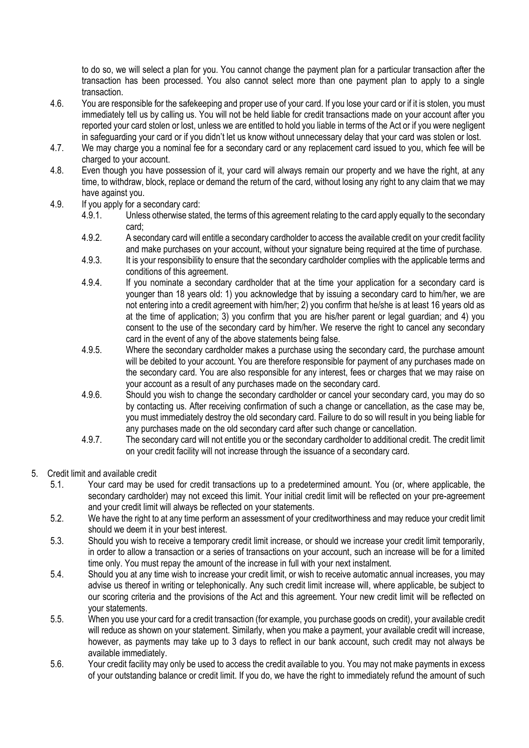to do so, we will select a plan for you. You cannot change the payment plan for a particular transaction after the transaction has been processed. You also cannot select more than one payment plan to apply to a single transaction.

- 4.6. You are responsible for the safekeeping and proper use of your card. If you lose your card or if it is stolen, you must immediately tell us by calling us. You will not be held liable for credit transactions made on your account after you reported your card stolen or lost, unless we are entitled to hold you liable in terms of the Act or if you were negligent in safeguarding your card or if you didn't let us know without unnecessary delay that your card was stolen or lost.
- 4.7. We may charge you a nominal fee for a secondary card or any replacement card issued to you, which fee will be charged to your account.
- 4.8. Even though you have possession of it, your card will always remain our property and we have the right, at any time, to withdraw, block, replace or demand the return of the card, without losing any right to any claim that we may have against you.
- 4.9. If you apply for a secondary card:
	- 4.9.1. Unless otherwise stated, the terms of this agreement relating to the card apply equally to the secondary card;
	- 4.9.2. A secondary card will entitle a secondary cardholder to access the available credit on your credit facility and make purchases on your account, without your signature being required at the time of purchase.
	- 4.9.3. It is your responsibility to ensure that the secondary cardholder complies with the applicable terms and conditions of this agreement.
	- 4.9.4. If you nominate a secondary cardholder that at the time your application for a secondary card is younger than 18 years old: 1) you acknowledge that by issuing a secondary card to him/her, we are not entering into a credit agreement with him/her; 2) you confirm that he/she is at least 16 years old as at the time of application; 3) you confirm that you are his/her parent or legal guardian; and 4) you consent to the use of the secondary card by him/her. We reserve the right to cancel any secondary card in the event of any of the above statements being false.
	- 4.9.5. Where the secondary cardholder makes a purchase using the secondary card, the purchase amount will be debited to your account. You are therefore responsible for payment of any purchases made on the secondary card. You are also responsible for any interest, fees or charges that we may raise on your account as a result of any purchases made on the secondary card.
	- 4.9.6. Should you wish to change the secondary cardholder or cancel your secondary card, you may do so by contacting us. After receiving confirmation of such a change or cancellation, as the case may be, you must immediately destroy the old secondary card. Failure to do so will result in you being liable for any purchases made on the old secondary card after such change or cancellation.
	- 4.9.7. The secondary card will not entitle you or the secondary cardholder to additional credit. The credit limit on your credit facility will not increase through the issuance of a secondary card.
- 5. Credit limit and available credit
	- 5.1. Your card may be used for credit transactions up to a predetermined amount. You (or, where applicable, the secondary cardholder) may not exceed this limit. Your initial credit limit will be reflected on your pre-agreement and your credit limit will always be reflected on your statements.
	- 5.2. We have the right to at any time perform an assessment of your creditworthiness and may reduce your credit limit should we deem it in your best interest.
	- 5.3. Should you wish to receive a temporary credit limit increase, or should we increase your credit limit temporarily, in order to allow a transaction or a series of transactions on your account, such an increase will be for a limited time only. You must repay the amount of the increase in full with your next instalment.
	- 5.4. Should you at any time wish to increase your credit limit, or wish to receive automatic annual increases, you may advise us thereof in writing or telephonically. Any such credit limit increase will, where applicable, be subject to our scoring criteria and the provisions of the Act and this agreement. Your new credit limit will be reflected on your statements.
	- 5.5. When you use your card for a credit transaction (for example, you purchase goods on credit), your available credit will reduce as shown on your statement. Similarly, when you make a payment, your available credit will increase, however, as payments may take up to 3 days to reflect in our bank account, such credit may not always be available immediately.
	- 5.6. Your credit facility may only be used to access the credit available to you. You may not make payments in excess of your outstanding balance or credit limit. If you do, we have the right to immediately refund the amount of such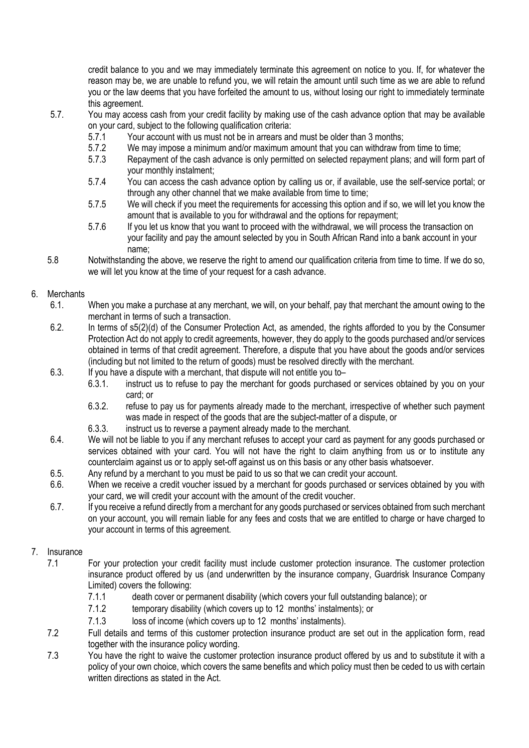credit balance to you and we may immediately terminate this agreement on notice to you. If, for whatever the reason may be, we are unable to refund you, we will retain the amount until such time as we are able to refund you or the law deems that you have forfeited the amount to us, without losing our right to immediately terminate this agreement.

- 5.7. You may access cash from your credit facility by making use of the cash advance option that may be available on your card, subject to the following qualification criteria:
	- 5.7.1 Your account with us must not be in arrears and must be older than 3 months;
	- 5.7.2 We may impose a minimum and/or maximum amount that you can withdraw from time to time;
	- 5.7.3 Repayment of the cash advance is only permitted on selected repayment plans; and will form part of your monthly instalment;
	- 5.7.4 You can access the cash advance option by calling us or, if available, use the self-service portal; or through any other channel that we make available from time to time;
	- 5.7.5 We will check if you meet the requirements for accessing this option and if so, we will let you know the amount that is available to you for withdrawal and the options for repayment;
	- 5.7.6 If you let us know that you want to proceed with the withdrawal, we will process the transaction on your facility and pay the amount selected by you in South African Rand into a bank account in your name;
- 5.8 Notwithstanding the above, we reserve the right to amend our qualification criteria from time to time. If we do so, we will let you know at the time of your request for a cash advance.

## 6. Merchants

- 6.1. When you make a purchase at any merchant, we will, on your behalf, pay that merchant the amount owing to the merchant in terms of such a transaction.
- 6.2. In terms of s5(2)(d) of the Consumer Protection Act, as amended, the rights afforded to you by the Consumer Protection Act do not apply to credit agreements, however, they do apply to the goods purchased and/or services obtained in terms of that credit agreement. Therefore, a dispute that you have about the goods and/or services (including but not limited to the return of goods) must be resolved directly with the merchant.
- 6.3. If you have a dispute with a merchant, that dispute will not entitle you to–
	- 6.3.1. instruct us to refuse to pay the merchant for goods purchased or services obtained by you on your card; or
	- 6.3.2. refuse to pay us for payments already made to the merchant, irrespective of whether such payment was made in respect of the goods that are the subject-matter of a dispute, or
	- 6.3.3. instruct us to reverse a payment already made to the merchant.
- 6.4. We will not be liable to you if any merchant refuses to accept your card as payment for any goods purchased or services obtained with your card. You will not have the right to claim anything from us or to institute any counterclaim against us or to apply set-off against us on this basis or any other basis whatsoever.
- 6.5. Any refund by a merchant to you must be paid to us so that we can credit your account.
- 6.6. When we receive a credit voucher issued by a merchant for goods purchased or services obtained by you with your card, we will credit your account with the amount of the credit voucher.
- 6.7. If you receive a refund directly from a merchant for any goods purchased or services obtained from such merchant on your account, you will remain liable for any fees and costs that we are entitled to charge or have charged to your account in terms of this agreement.

# 7. Insurance

- 7.1 For your protection your credit facility must include customer protection insurance. The customer protection insurance product offered by us (and underwritten by the insurance company, Guardrisk Insurance Company Limited) covers the following:
	- 7.1.1 death cover or permanent disability (which covers your full outstanding balance); or
	- 7.1.2 temporary disability (which covers up to 12 months' instalments); or
	- 7.1.3 loss of income (which covers up to 12 months' instalments).
- 7.2 Full details and terms of this customer protection insurance product are set out in the application form, read together with the insurance policy wording.
- 7.3 You have the right to waive the customer protection insurance product offered by us and to substitute it with a policy of your own choice, which covers the same benefits and which policy must then be ceded to us with certain written directions as stated in the Act.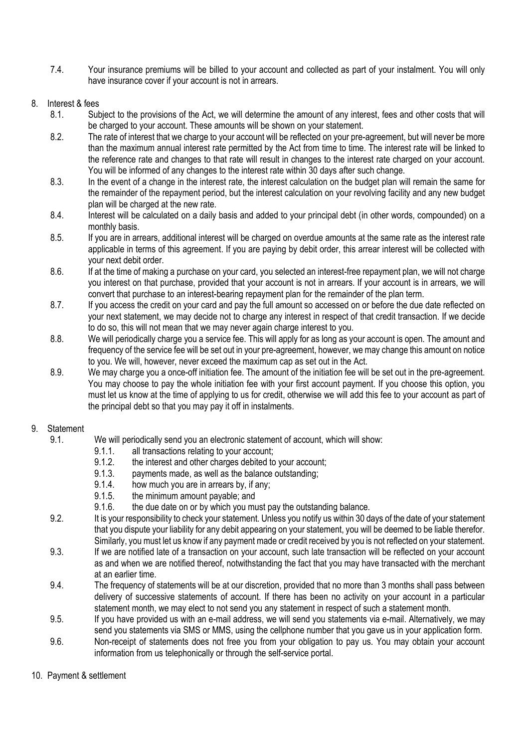7.4. Your insurance premiums will be billed to your account and collected as part of your instalment. You will only have insurance cover if your account is not in arrears.

### 8. Interest & fees

- 8.1. Subject to the provisions of the Act, we will determine the amount of any interest, fees and other costs that will be charged to your account. These amounts will be shown on your statement.
- 8.2. The rate of interest that we charge to your account will be reflected on your pre-agreement, but will never be more than the maximum annual interest rate permitted by the Act from time to time. The interest rate will be linked to the reference rate and changes to that rate will result in changes to the interest rate charged on your account. You will be informed of any changes to the interest rate within 30 days after such change.
- 8.3. In the event of a change in the interest rate, the interest calculation on the budget plan will remain the same for the remainder of the repayment period, but the interest calculation on your revolving facility and any new budget plan will be charged at the new rate.
- 8.4. Interest will be calculated on a daily basis and added to your principal debt (in other words, compounded) on a monthly basis.
- 8.5. If you are in arrears, additional interest will be charged on overdue amounts at the same rate as the interest rate applicable in terms of this agreement. If you are paying by debit order, this arrear interest will be collected with your next debit order.
- 8.6. If at the time of making a purchase on your card, you selected an interest-free repayment plan, we will not charge you interest on that purchase, provided that your account is not in arrears. If your account is in arrears, we will convert that purchase to an interest-bearing repayment plan for the remainder of the plan term.
- 8.7. If you access the credit on your card and pay the full amount so accessed on or before the due date reflected on your next statement, we may decide not to charge any interest in respect of that credit transaction. If we decide to do so, this will not mean that we may never again charge interest to you.
- 8.8. We will periodically charge you a service fee. This will apply for as long as your account is open. The amount and frequency of the service fee will be set out in your pre-agreement, however, we may change this amount on notice to you. We will, however, never exceed the maximum cap as set out in the Act.
- 8.9. We may charge you a once-off initiation fee. The amount of the initiation fee will be set out in the pre-agreement. You may choose to pay the whole initiation fee with your first account payment. If you choose this option, you must let us know at the time of applying to us for credit, otherwise we will add this fee to your account as part of the principal debt so that you may pay it off in instalments.

### 9. Statement

- 9.1. We will periodically send you an electronic statement of account, which will show:
	- 9.1.1. all transactions relating to your account;
	- 9.1.2. the interest and other charges debited to your account;
	- 9.1.3. payments made, as well as the balance outstanding;
	- 9.1.4. how much you are in arrears by, if any;
	- 9.1.5. the minimum amount payable; and
	- 9.1.6. the due date on or by which you must pay the outstanding balance.
- 9.2. It is your responsibility to check your statement. Unless you notify us within 30 days of the date of your statement that you dispute your liability for any debit appearing on your statement, you will be deemed to be liable therefor. Similarly, you must let us know if any payment made or credit received by you is not reflected on your statement.
- 9.3. If we are notified late of a transaction on your account, such late transaction will be reflected on your account as and when we are notified thereof, notwithstanding the fact that you may have transacted with the merchant at an earlier time.
- 9.4. The frequency of statements will be at our discretion, provided that no more than 3 months shall pass between delivery of successive statements of account. If there has been no activity on your account in a particular statement month, we may elect to not send you any statement in respect of such a statement month.
- 9.5. If you have provided us with an e-mail address, we will send you statements via e-mail. Alternatively, we may send you statements via SMS or MMS, using the cellphone number that you gave us in your application form.
- 9.6. Non-receipt of statements does not free you from your obligation to pay us. You may obtain your account information from us telephonically or through the self-service portal.
- 10. Payment & settlement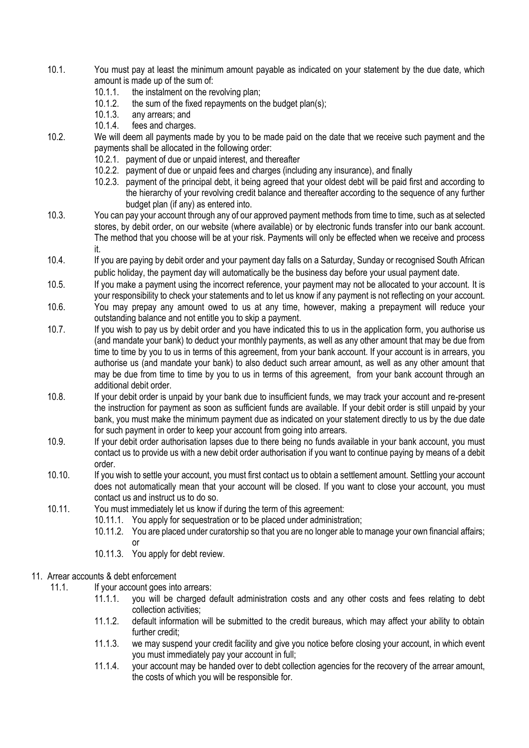- 10.1. You must pay at least the minimum amount payable as indicated on your statement by the due date, which amount is made up of the sum of:
	- 10.1.1. the instalment on the revolving plan;
	- 10.1.2. the sum of the fixed repayments on the budget plan(s);<br>10.1.3. any arrears: and
	- any arrears; and
	- 10.1.4. fees and charges.
- 10.2. We will deem all payments made by you to be made paid on the date that we receive such payment and the payments shall be allocated in the following order:
	- 10.2.1. payment of due or unpaid interest, and thereafter
	- 10.2.2. payment of due or unpaid fees and charges (including any insurance), and finally
	- 10.2.3. payment of the principal debt, it being agreed that your oldest debt will be paid first and according to the hierarchy of your revolving credit balance and thereafter according to the sequence of any further budget plan (if any) as entered into.
- 10.3. You can pay your account through any of our approved payment methods from time to time, such as at selected stores, by debit order, on our website (where available) or by electronic funds transfer into our bank account. The method that you choose will be at your risk. Payments will only be effected when we receive and process it.
- 10.4. If you are paying by debit order and your payment day falls on a Saturday, Sunday or recognised South African public holiday, the payment day will automatically be the business day before your usual payment date.
- 10.5. If you make a payment using the incorrect reference, your payment may not be allocated to your account. It is your responsibility to check your statements and to let us know if any payment is not reflecting on your account.
- 10.6. You may prepay any amount owed to us at any time, however, making a prepayment will reduce your outstanding balance and not entitle you to skip a payment.
- 10.7. If you wish to pay us by debit order and you have indicated this to us in the application form, you authorise us (and mandate your bank) to deduct your monthly payments, as well as any other amount that may be due from time to time by you to us in terms of this agreement, from your bank account. If your account is in arrears, you authorise us (and mandate your bank) to also deduct such arrear amount, as well as any other amount that may be due from time to time by you to us in terms of this agreement, from your bank account through an additional debit order.
- 10.8. If your debit order is unpaid by your bank due to insufficient funds, we may track your account and re-present the instruction for payment as soon as sufficient funds are available. If your debit order is still unpaid by your bank, you must make the minimum payment due as indicated on your statement directly to us by the due date for such payment in order to keep your account from going into arrears.
- 10.9. If your debit order authorisation lapses due to there being no funds available in your bank account, you must contact us to provide us with a new debit order authorisation if you want to continue paying by means of a debit order.
- 10.10. If you wish to settle your account, you must first contact us to obtain a settlement amount. Settling your account does not automatically mean that your account will be closed. If you want to close your account, you must contact us and instruct us to do so.
- 10.11. You must immediately let us know if during the term of this agreement:
	- 10.11.1. You apply for sequestration or to be placed under administration;
	- 10.11.2. You are placed under curatorship so that you are no longer able to manage your own financial affairs; or
	- 10.11.3. You apply for debt review.

### 11. Arrear accounts & debt enforcement

- 11.1. If your account goes into arrears:
	- 11.1.1. you will be charged default administration costs and any other costs and fees relating to debt collection activities;
	- 11.1.2. default information will be submitted to the credit bureaus, which may affect your ability to obtain further credit;
	- 11.1.3. we may suspend your credit facility and give you notice before closing your account, in which event you must immediately pay your account in full;
	- 11.1.4. your account may be handed over to debt collection agencies for the recovery of the arrear amount, the costs of which you will be responsible for.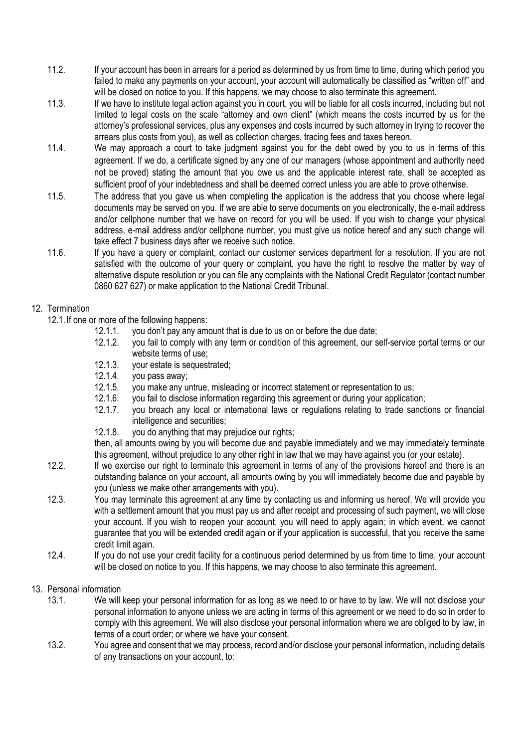- 11.2. If your account has been in arrears for a period as determined by us from time to time, during which period you failed to make any payments on your account, your account will automatically be classified as "written off" and will be closed on notice to you. If this happens, we may choose to also terminate this agreement.
- 11.3. If we have to institute legal action against you in court, you will be liable for all costs incurred, including but not limited to legal costs on the scale "attorney and own client" (which means the costs incurred by us for the attorney's professional services, plus any expenses and costs incurred by such attorney in trying to recover the arrears plus costs from you), as well as collection charges, tracing fees and taxes hereon.
- 11.4. We may approach a court to take judgment against you for the debt owed by you to us in terms of this agreement. If we do, a certificate signed by any one of our managers (whose appointment and authority need not be proved) stating the amount that you owe us and the applicable interest rate, shall be accepted as sufficient proof of your indebtedness and shall be deemed correct unless you are able to prove otherwise.
- 11.5. The address that you gave us when completing the application is the address that you choose where legal documents may be served on you. If we are able to serve documents on you electronically, the e-mail address and/or cellphone number that we have on record for you will be used. If you wish to change your physical address, e-mail address and/or cellphone number, you must give us notice hereof and any such change will take effect 7 business days after we receive such notice.
- 11.6. If you have a query or complaint, contact our customer services department for a resolution. If you are not satisfied with the outcome of your query or complaint, you have the right to resolve the matter by way of alternative dispute resolution or you can file any complaints with the National Credit Regulator (contact number 0860 627 627) or make application to the National Credit Tribunal.

# 12. Termination

12.1. If one or more of the following happens:

- 12.1.1. you don't pay any amount that is due to us on or before the due date;
- 12.1.2. you fail to comply with any term or condition of this agreement, our self-service portal terms or our website terms of use;
- 12.1.3. your estate is sequestrated;
- 12.1.4. you pass away;
- 12.1.5. you make any untrue, misleading or incorrect statement or representation to us;<br>12.1.6. vou fail to disclose information regarding this agreement or during your application
- vou fail to disclose information regarding this agreement or during your application;
- 12.1.7. you breach any local or international laws or regulations relating to trade sanctions or financial intelligence and securities;
- 12.1.8. you do anything that may prejudice our rights;

then, all amounts owing by you will become due and payable immediately and we may immediately terminate this agreement, without prejudice to any other right in law that we may have against you (or your estate).

- 12.2. If we exercise our right to terminate this agreement in terms of any of the provisions hereof and there is an outstanding balance on your account, all amounts owing by you will immediately become due and payable by you (unless we make other arrangements with you).
- 12.3. You may terminate this agreement at any time by contacting us and informing us hereof. We will provide you with a settlement amount that you must pay us and after receipt and processing of such payment, we will close your account. If you wish to reopen your account, you will need to apply again; in which event, we cannot guarantee that you will be extended credit again or if your application is successful, that you receive the same credit limit again.
- 12.4. If you do not use your credit facility for a continuous period determined by us from time to time, your account will be closed on notice to you. If this happens, we may choose to also terminate this agreement.
- 13. Personal information
	- 13.1. We will keep your personal information for as long as we need to or have to by law. We will not disclose your personal information to anyone unless we are acting in terms of this agreement or we need to do so in order to comply with this agreement. We will also disclose your personal information where we are obliged to by law, in terms of a court order; or where we have your consent.
	- 13.2. You agree and consent that we may process, record and/or disclose your personal information, including details of any transactions on your account, to: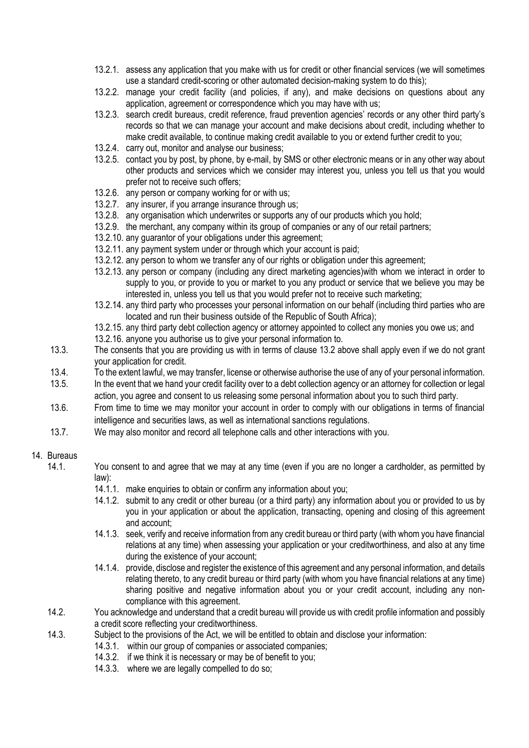- 13.2.1. assess any application that you make with us for credit or other financial services (we will sometimes use a standard credit-scoring or other automated decision-making system to do this);
- 13.2.2. manage your credit facility (and policies, if any), and make decisions on questions about any application, agreement or correspondence which you may have with us;
- 13.2.3. search credit bureaus, credit reference, fraud prevention agencies' records or any other third party's records so that we can manage your account and make decisions about credit, including whether to make credit available, to continue making credit available to you or extend further credit to you;
- 13.2.4. carry out, monitor and analyse our business;
- 13.2.5. contact you by post, by phone, by e-mail, by SMS or other electronic means or in any other way about other products and services which we consider may interest you, unless you tell us that you would prefer not to receive such offers;
- 13.2.6. any person or company working for or with us;
- 13.2.7. any insurer, if you arrange insurance through us;
- 13.2.8. any organisation which underwrites or supports any of our products which you hold;
- 13.2.9. the merchant, any company within its group of companies or any of our retail partners;
- 13.2.10. any guarantor of your obligations under this agreement;
- 13.2.11. any payment system under or through which your account is paid;
- 13.2.12. any person to whom we transfer any of our rights or obligation under this agreement;
- 13.2.13. any person or company (including any direct marketing agencies)with whom we interact in order to supply to you, or provide to you or market to you any product or service that we believe you may be interested in, unless you tell us that you would prefer not to receive such marketing;
- 13.2.14. any third party who processes your personal information on our behalf (including third parties who are located and run their business outside of the Republic of South Africa);
- 13.2.15. any third party debt collection agency or attorney appointed to collect any monies you owe us; and
- 13.2.16. anyone you authorise us to give your personal information to.
- 13.3. The consents that you are providing us with in terms of clause 13.2 above shall apply even if we do not grant your application for credit.
- 13.4. To the extent lawful, we may transfer, license or otherwise authorise the use of any of your personal information.<br>13.5. In the event that we hand your credit facility over to a debt collection agency or an attorney
- In the event that we hand your credit facility over to a debt collection agency or an attorney for collection or legal action, you agree and consent to us releasing some personal information about you to such third party.
- 13.6. From time to time we may monitor your account in order to comply with our obligations in terms of financial intelligence and securities laws, as well as international sanctions regulations.
- 13.7. We may also monitor and record all telephone calls and other interactions with you.

### 14. Bureaus

- 14.1. You consent to and agree that we may at any time (even if you are no longer a cardholder, as permitted by law):
	- 14.1.1. make enquiries to obtain or confirm any information about you;
	- 14.1.2. submit to any credit or other bureau (or a third party) any information about you or provided to us by you in your application or about the application, transacting, opening and closing of this agreement and account;
	- 14.1.3. seek, verify and receive information from any credit bureau or third party (with whom you have financial relations at any time) when assessing your application or your creditworthiness, and also at any time during the existence of your account;
	- 14.1.4. provide, disclose and register the existence of this agreement and any personal information, and details relating thereto, to any credit bureau or third party (with whom you have financial relations at any time) sharing positive and negative information about you or your credit account, including any noncompliance with this agreement.
- 14.2. You acknowledge and understand that a credit bureau will provide us with credit profile information and possibly a credit score reflecting your creditworthiness.
- 14.3. Subject to the provisions of the Act, we will be entitled to obtain and disclose your information:
	- 14.3.1. within our group of companies or associated companies;
	- 14.3.2. if we think it is necessary or may be of benefit to you;
	- 14.3.3. where we are legally compelled to do so;